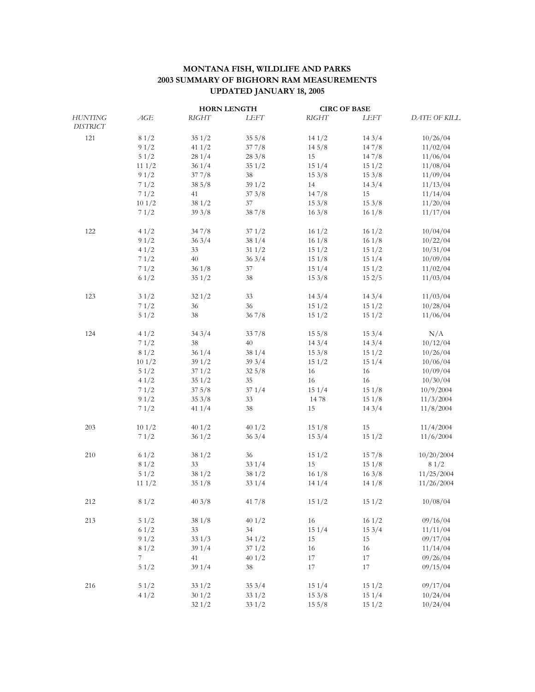## **MONTANA FISH, WILDLIFE AND PARKS 2003 SUMMARY OF BIGHORN RAM MEASUREMENTS UPDATED JANUARY 18, 2005**

|                                   |       | <b>HORN LENGTH</b> |                 | <b>CIRC OF BASE</b> |       |              |
|-----------------------------------|-------|--------------------|-----------------|---------------------|-------|--------------|
| <b>HUNTING</b><br><b>DISTRICT</b> | AGE   | <b>RIGHT</b>       | LEFT            | <b>RIGHT</b>        | LEFT  | DATE OF KILL |
| 121                               | 81/2  | 351/2              | $35\frac{5}{8}$ | 141/2               | 143/4 | 10/26/04     |
|                                   | 91/2  | 41 $1/2$           | 377/8           | 14.5/8              | 147/8 | 11/02/04     |
|                                   | 51/2  | 281/4              | 283/8           | 15                  | 147/8 | 11/06/04     |
|                                   | 111/2 | 361/4              | 351/2           | 151/4               | 151/2 | 11/08/04     |
|                                   | 91/2  | 377/8              | 38              | 153/8               | 153/8 | 11/09/04     |
|                                   | 71/2  | 385/8              | 391/2           | 14                  | 143/4 | 11/13/04     |
|                                   | 71/2  | 41                 | 373/8           | 147/8               | 15    | 11/14/04     |
|                                   | 101/2 | 381/2              | 37              | 153/8               | 153/8 | 11/20/04     |
|                                   | 71/2  | 393/8              | 387/8           | 163/8               | 161/8 | 11/17/04     |
| 122                               | 41/2  | 347/8              | 371/2           | 161/2               | 161/2 | 10/04/04     |
|                                   | 91/2  | 363/4              | 381/4           | 161/8               | 161/8 | 10/22/04     |
|                                   | 41/2  | 33                 | 311/2           | 151/2               | 151/2 | 10/31/04     |
|                                   | 71/2  | 40                 | 363/4           | 151/8               | 151/4 | 10/09/04     |
|                                   | 71/2  | 361/8              | 37              | 151/4               | 151/2 | 11/02/04     |
|                                   | 61/2  | 351/2              | 38              | 153/8               | 152/5 | 11/03/04     |
| 123                               | 31/2  | 321/2              | 33              | 143/4               | 143/4 | 11/03/04     |
|                                   | 71/2  | 36                 | 36              | 151/2               | 151/2 | 10/28/04     |
|                                   | 51/2  | 38                 | 367/8           | 151/2               | 151/2 | 11/06/04     |
| 124                               | 41/2  | 343/4              | 337/8           | 155/8               | 153/4 | N/A          |
|                                   | 71/2  | 38                 | 40              | 143/4               | 143/4 | 10/12/04     |
|                                   | 81/2  | 361/4              | 381/4           | 153/8               | 151/2 | 10/26/04     |
|                                   | 101/2 | 391/2              | 393/4           | 151/2               | 151/4 | 10/06/04     |
|                                   | 51/2  | 371/2              | $32\frac{5}{8}$ | 16                  | 16    | 10/09/04     |
|                                   | 41/2  | 351/2              | 35              | 16                  | 16    | 10/30/04     |
|                                   | 71/2  | 375/8              | 371/4           | 151/4               | 151/8 | 10/9/2004    |
|                                   | 91/2  | 353/8              | 33              | 1478                | 151/8 | 11/3/2004    |
|                                   | 71/2  | 411/4              | 38              | 15                  | 143/4 | 11/8/2004    |
| 203                               | 101/2 | 401/2              | 401/2           | 151/8               | 15    | 11/4/2004    |
|                                   | 71/2  | 361/2              | 363/4           | 153/4               | 151/2 | 11/6/2004    |
| 210                               | 61/2  | 381/2              | 36              | 151/2               | 157/8 | 10/20/2004   |
|                                   | 81/2  | 33                 | 331/4           | 15                  | 151/8 | 81/2         |
|                                   | 51/2  | 381/2              | 381/2           | 161/8               | 163/8 | 11/25/2004   |
|                                   | 111/2 | 351/8              | 331/4           | 141/4               | 141/8 | 11/26/2004   |
| 212                               | 81/2  | 403/8              | 417/8           | 151/2               | 151/2 | 10/08/04     |
| 213                               | 51/2  | 38 1/8             | 401/2           | 16                  | 161/2 | 09/16/04     |
|                                   | 61/2  | 33                 | 34              | 151/4               | 153/4 | 11/11/04     |
|                                   | 91/2  | 331/3              | 341/2           | 15                  | 15    | 09/17/04     |
|                                   | 81/2  | 39 1/4             | 371/2           | 16                  | 16    | 11/14/04     |
|                                   | 7     | 41                 | 401/2           | 17                  | 17    | 09/26/04     |
|                                   | 51/2  | 39 1/4             | 38              | 17                  | 17    | 09/15/04     |
| 216                               | 51/2  | 331/2              | 353/4           | 151/4               | 151/2 | 09/17/04     |
|                                   | 41/2  | 301/2              | 331/2           | 153/8               | 151/4 | 10/24/04     |
|                                   |       | 321/2              | 331/2           | $15\frac{5}{8}$     | 151/2 | 10/24/04     |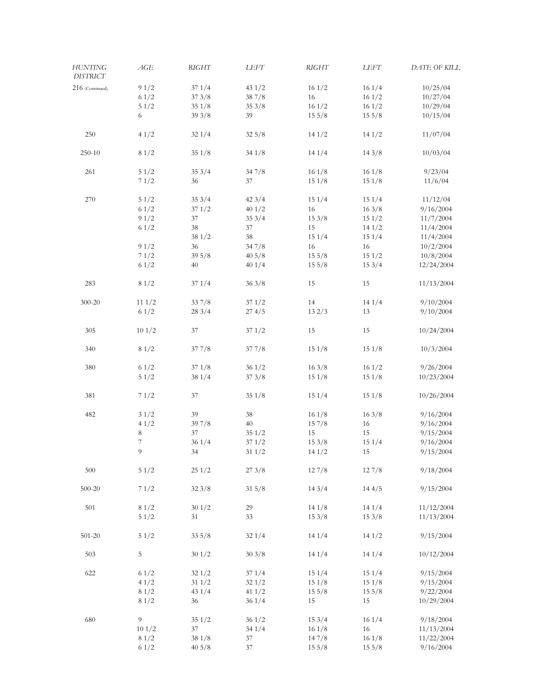| HUNTING<br><b>DISTRICT</b> | AGE   | <b>RIGHT</b>    | LEFT             | <b>RIGHT</b>    | LEFT            | DATE OF KILL |
|----------------------------|-------|-----------------|------------------|-----------------|-----------------|--------------|
| 216 (Continued)            | 91/2  | 371/4           | 431/2            | 161/2           | 161/4           | 10/25/04     |
|                            | 61/2  | 373/8           | 387/8            | 16              | 161/2           | 10/27/04     |
|                            | 51/2  | 351/8           | 353/8            |                 | 161/2           |              |
|                            |       |                 |                  | 161/2           |                 | 10/29/04     |
|                            | 6     | 393/8           | 39               | 155/8           | 155/8           | 10/15/04     |
| $250\,$                    | 41/2  | 321/4           | $32\frac{5}{8}$  | 141/2           | 141/2           | 11/07/04     |
| 250-10                     | 81/2  | 351/8           | 341/8            | 141/4           | 143/8           | 10/03/04     |
| 261                        | 51/2  | 353/4           | 347/8            | 161/8           | 161/8           | 9/23/04      |
|                            | 71/2  | 36              | 37               | 151/8           | 151/8           | 11/6/04      |
| 270                        | 51/2  | 353/4           | 423/4            | 151/4           | 151/4           | 11/12/04     |
|                            | 61/2  | 371/2           | 401/2            | 16              | 163/8           | 9/16/2004    |
|                            | 91/2  | 37              | 353/4            | 153/8           | 151/2           | 11/7/2004    |
|                            | 61/2  | 38              | 37               | 15              | 141/2           | 11/4/2004    |
|                            |       | 381/2           | 38               | 151/4           | 151/4           | 11/4/2004    |
|                            | 91/2  | 36              | 347/8            | 16              | 16              | 10/2/2004    |
|                            | 71/2  | 395/8           | $40\frac{5}{8}$  | 155/8           | 151/2           | 10/8/2004    |
|                            | 61/2  | 40              | 401/4            | 155/8           | 153/4           | 12/24/2004   |
|                            |       |                 |                  |                 |                 |              |
| 283                        | 81/2  | 371/4           | 363/8            | 15              | 15              | 11/13/2004   |
| $300 - 20$                 | 111/2 | 337/8           | 371/2            | 14              | 141/4           | 9/10/2004    |
|                            | 61/2  | 283/4           | 274/5            | 132/3           | 13              | 9/10/2004    |
| $305\,$                    | 101/2 | 37              | 371/2            | 15              | 15              | 10/24/2004   |
| 340                        | 81/2  | 377/8           | 377/8            | 151/8           | 151/8           | 10/3/2004    |
| 380                        | 61/2  | 371/8           | 361/2            | 163/8           | 161/2           | 9/26/2004    |
|                            | 51/2  | 381/4           | 373/8            | 151/8           | 151/8           | 10/23/2004   |
| 381                        | 71/2  | 37              | 351/8            | 151/4           | 151/8           | 10/26/2004   |
| 482                        | 31/2  | 39              | 38               | 161/8           | 163/8           | 9/16/2004    |
|                            | 41/2  | 397/8           | 40               | 157/8           | 16              | 9/16/2004    |
|                            | 8     | 37              | 351/2            | 15              | 15              | 9/15/2004    |
|                            | 7     | 361/4           | 371/2            | 153/8           | 151/4           | 9/16/2004    |
|                            | 9     | 34              | $31 \frac{1}{2}$ | 141/2           | 15              | 9/15/2004    |
|                            |       |                 |                  |                 |                 |              |
| 500                        | 51/2  | 251/2           | 273/8            | 127/8           | 127/8           | 9/18/2004    |
| $500 - 20$                 | 71/2  | 323/8           | 315/8            | 143/4           | 144/5           | 9/15/2004    |
|                            | 81/2  | 301/2           | 29               | 141/8           | 141/4           | 11/12/2004   |
| 501                        |       |                 |                  |                 |                 |              |
|                            | 51/2  | 31              | 33               | 153/8           | 153/8           | 11/13/2004   |
| $501 - 20$                 | 51/2  | 335/8           | 321/4            | 141/4           | 141/2           | 9/15/2004    |
| 503                        | 5     | 301/2           | 303/8            | 141/4           | 141/4           | 10/12/2004   |
| 622                        | 61/2  | 321/2           | 371/4            | 151/4           | 151/4           | 9/15/2004    |
|                            | 41/2  | 311/2           | 321/2            | 151/8           | 151/8           | 9/15/2004    |
|                            | 81/2  | 431/4           | 411/2            | $15\frac{5}{8}$ | $15\frac{5}{8}$ | 9/22/2004    |
|                            | 81/2  | 36              | 361/4            | 15              | 15              | 10/29/2004   |
| 680                        | 9     | 351/2           | 361/2            | 153/4           | 161/4           | 9/18/2004    |
|                            | 101/2 | 37              | 341/4            | 161/8           | 16              | 11/13/2004   |
|                            | 81/2  | 381/8           | 37               | 147/8           | 161/8           | 11/22/2004   |
|                            | 61/2  | $40\frac{5}{8}$ | 37               | 155/8           | 155/8           | 9/16/2004    |
|                            |       |                 |                  |                 |                 |              |